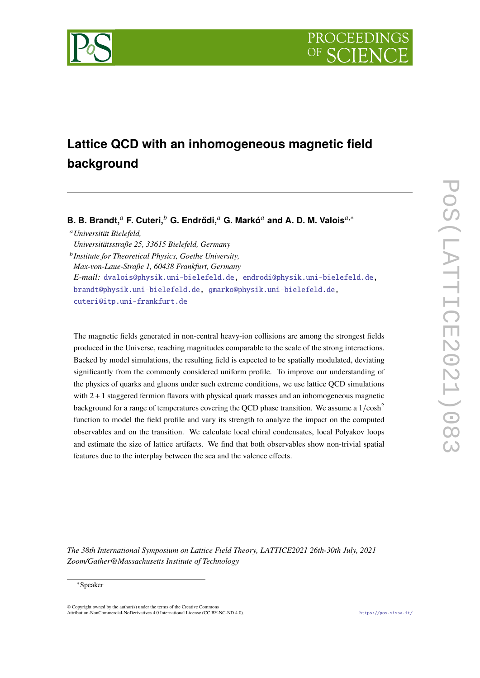

# **Lattice QCD with an inhomogeneous magnetic field background**

# **B. B. Brandt,**<sup>a</sup> **F. Cuteri,**<sup>b</sup> **G. Endrődi,**<sup>a</sup> **G. Markó**<sup>a</sup> and A. D. M. Valois<sup>a,∗</sup>

<sup>𝑎</sup>*Universität Bielefeld,*

*Universitätsstraße 25, 33615 Bielefeld, Germany*

𝑏 *Institute for Theoretical Physics, Goethe University, Max-von-Laue-Straße 1, 60438 Frankfurt, Germany E-mail:* [dvalois@physik.uni-bielefeld.de,](mailto:dvalois@physik.uni-bielefeld.de) [endrodi@physik.uni-bielefeld.de,](mailto:endrodi@physik.uni-bielefeld.de) [brandt@physik.uni-bielefeld.de,](mailto:brandt@physik.uni-bielefeld.de) [gmarko@physik.uni-bielefeld.de,](mailto:gmarko@physik.uni-bielefeld.de) [cuteri@itp.uni-frankfurt.de](mailto:cuteri@itp.uni-frankfurt.de)

The magnetic fields generated in non-central heavy-ion collisions are among the strongest fields produced in the Universe, reaching magnitudes comparable to the scale of the strong interactions. Backed by model simulations, the resulting field is expected to be spatially modulated, deviating significantly from the commonly considered uniform profile. To improve our understanding of the physics of quarks and gluons under such extreme conditions, we use lattice QCD simulations with 2 + 1 staggered fermion flavors with physical quark masses and an inhomogeneous magnetic background for a range of temperatures covering the QCD phase transition. We assume a  $1/\cosh^2$ function to model the field profile and vary its strength to analyze the impact on the computed observables and on the transition. We calculate local chiral condensates, local Polyakov loops and estimate the size of lattice artifacts. We find that both observables show non-trivial spatial features due to the interplay between the sea and the valence effects.

*The 38th International Symposium on Lattice Field Theory, LATTICE2021 26th-30th July, 2021 Zoom/Gather@Massachusetts Institute of Technology*

#### <sup>∗</sup>Speaker

 $\odot$  Copyright owned by the author(s) under the terms of the Creative Common Attribution-NonCommercial-NoDerivatives 4.0 International License (CC BY-NC-ND 4.0). <https://pos.sissa.it/>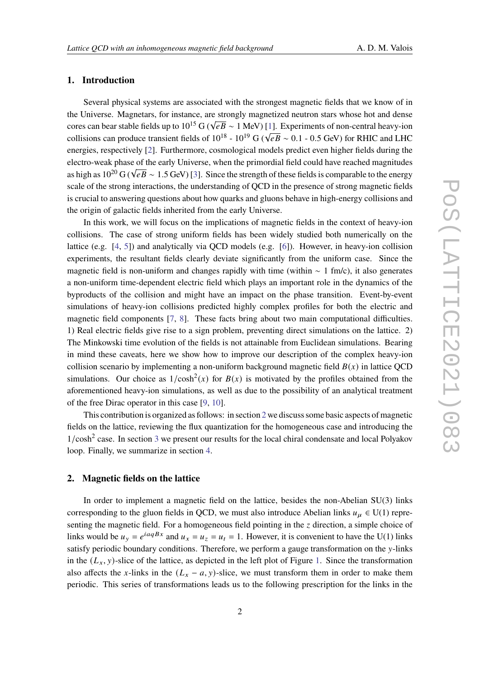## **1. Introduction**

Several physical systems are associated with the strongest magnetic fields that we know of in the Universe. Magnetars, for instance, are strongly magnetized neutron stars whose hot and dense cores can bear stable fields up to  $10^{15}$  G ( $\sqrt{e}B \sim 1$  MeV) [\[1\]](#page-7-0). Experiments of non-central heavy-ion collisions can produce transient fields of  $10^{18}$  -  $10^{19}$  G ( $\sqrt{eB}$  ~ 0.1 - 0.5 GeV) for RHIC and LHC and LHC energies, respectively [\[2\]](#page-7-1). Furthermore, cosmological models predict even higher fields during the electro-weak phase of the early Universe, when the primordial field could have reached magnitudes as high as  $10^{20}$  G ( $\sqrt{eB} \sim 1.5$  GeV) [\[3\]](#page-7-2). Since the strength of these fields is comparable to the energy scale of the strong interactions, the understanding of QCD in the presence of strong magnetic fields is crucial to answering questions about how quarks and gluons behave in high-energy collisions and the origin of galactic fields inherited from the early Universe.

In this work, we will focus on the implications of magnetic fields in the context of heavy-ion collisions. The case of strong uniform fields has been widely studied both numerically on the lattice (e.g. [\[4,](#page-7-3) [5\]](#page-7-4)) and analytically via QCD models (e.g. [\[6\]](#page-7-5)). However, in heavy-ion collision experiments, the resultant fields clearly deviate significantly from the uniform case. Since the magnetic field is non-uniform and changes rapidly with time (within  $\sim 1$  fm/c), it also generates a non-uniform time-dependent electric field which plays an important role in the dynamics of the byproducts of the collision and might have an impact on the phase transition. Event-by-event simulations of heavy-ion collisions predicted highly complex profiles for both the electric and magnetic field components [\[7,](#page-7-6) [8\]](#page-7-7). These facts bring about two main computational difficulties. 1) Real electric fields give rise to a sign problem, preventing direct simulations on the lattice. 2) The Minkowski time evolution of the fields is not attainable from Euclidean simulations. Bearing in mind these caveats, here we show how to improve our description of the complex heavy-ion collision scenario by implementing a non-uniform background magnetic field  $B(x)$  in lattice OCD simulations. Our choice as  $1/cosh<sup>2</sup>(x)$  for  $B(x)$  is motivated by the profiles obtained from the aforementioned heavy-ion simulations, as well as due to the possibility of an analytical treatment of the free Dirac operator in this case [\[9,](#page-7-8) [10\]](#page-8-0).

This contribution is organized as follows: in section [2](#page-1-0) we discuss some basic aspects of magnetic fields on the lattice, reviewing the flux quantization for the homogeneous case and introducing the  $1/cosh<sup>2</sup>$  case. In section [3](#page-3-0) we present our results for the local chiral condensate and local Polyakov loop. Finally, we summarize in section [4.](#page-6-0)

#### <span id="page-1-0"></span>**2. Magnetic fields on the lattice**

In order to implement a magnetic field on the lattice, besides the non-Abelian SU(3) links corresponding to the gluon fields in QCD, we must also introduce Abelian links  $u_u \in U(1)$  representing the magnetic field. For a homogeneous field pointing in the  $z$  direction, a simple choice of links would be  $u_y = e^{iaqBx}$  and  $u_x = u_z = u_t = 1$ . However, it is convenient to have the U(1) links satisfy periodic boundary conditions. Therefore, we perform a gauge transformation on the y-links in the  $(L_x, y)$ -slice of the lattice, as depicted in the left plot of Figure [1.](#page-2-0) Since the transformation also affects the x-links in the  $(L_x - a, y)$ -slice, we must transform them in order to make them periodic. This series of transformations leads us to the following prescription for the links in the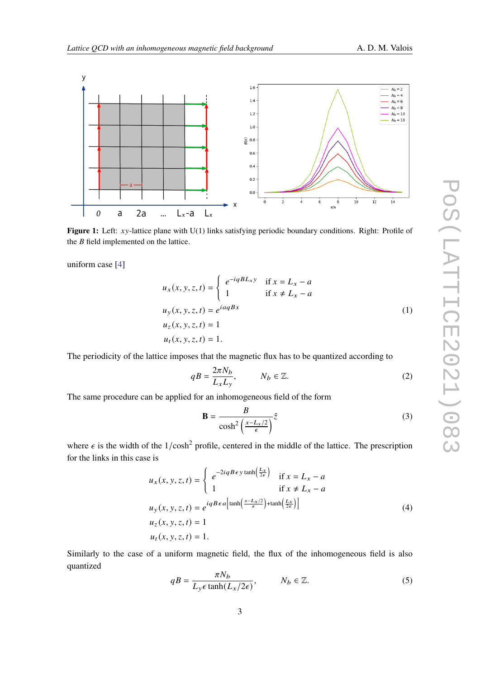<span id="page-2-0"></span>

Figure 1: Left: xy-lattice plane with U(1) links satisfying periodic boundary conditions. Right: Profile of the  $B$  field implemented on the lattice.

uniform case [\[4\]](#page-7-3)

$$
u_x(x, y, z, t) = \begin{cases} e^{-iqBL_x y} & \text{if } x = L_x - a \\ 1 & \text{if } x \neq L_x - a \end{cases}
$$
  

$$
u_y(x, y, z, t) = e^{i a qBx}
$$
  

$$
u_z(x, y, z, t) = 1
$$
  

$$
u_t(x, y, z, t) = 1.
$$
  
(1)

The periodicity of the lattice imposes that the magnetic flux has to be quantized according to

$$
qB = \frac{2\pi N_b}{L_x L_y}, \qquad N_b \in \mathbb{Z}.
$$
 (2)

The same procedure can be applied for an inhomogeneous field of the form

<span id="page-2-1"></span>
$$
\mathbf{B} = \frac{B}{\cosh^2 \left(\frac{x - L_x/2}{\epsilon}\right)} \hat{z}
$$
 (3)

where  $\epsilon$  is the width of the 1/cosh<sup>2</sup> profile, centered in the middle of the lattice. The prescription for the links in this case is

$$
u_x(x, y, z, t) = \begin{cases} e^{-2iqB\epsilon y \tanh(\frac{L_x}{2\epsilon})} & \text{if } x = L_x - a \\ 1 & \text{if } x \neq L_x - a \end{cases}
$$
  

$$
u_y(x, y, z, t) = e^{iqB\epsilon a \left[\tanh(\frac{x - L_x/2}{\epsilon}) + \tanh(\frac{L_x}{2\epsilon})\right]}
$$
  

$$
u_z(x, y, z, t) = 1
$$
  

$$
u_t(x, y, z, t) = 1.
$$
  
(4)

Similarly to the case of a uniform magnetic field, the flux of the inhomogeneous field is also quantized

<span id="page-2-2"></span>
$$
qB = \frac{\pi N_b}{L_y \epsilon \tanh(L_x/2\epsilon)}, \qquad N_b \in \mathbb{Z}.
$$
 (5)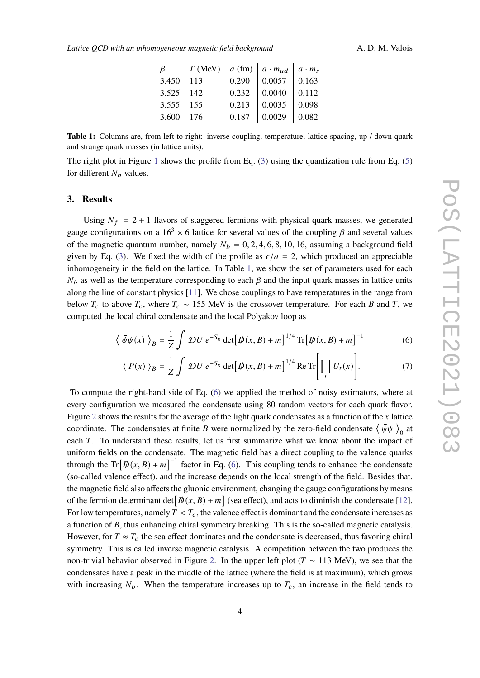| B     | T(MeV)      | $ a$ (fm) $ a \cdot m_{ud} $ |        | $a \cdot m_s$ |
|-------|-------------|------------------------------|--------|---------------|
| 3.450 | 113         | 0.290                        | 0.0057 | 0.163         |
| 3.525 | 142         | 0.232                        | 0.0040 | 0.112         |
| 3.555 | $\vert$ 155 | 0.213                        | 0.0035 | 0.098         |
| 3.600 | 176         | 0.187                        | 0.0029 | 0.082         |

<span id="page-3-1"></span>**Table 1:** Columns are, from left to right: inverse coupling, temperature, lattice spacing, up / down quark and strange quark masses (in lattice units).

The right plot in Figure [1](#page-2-0) shows the profile from Eq.  $(3)$  using the quantization rule from Eq.  $(5)$ for different  $N_b$  values.

#### <span id="page-3-0"></span>**3. Results**

Using  $N_f = 2 + 1$  flavors of staggered fermions with physical quark masses, we generated gauge configurations on a  $16<sup>3</sup> \times 6$  lattice for several values of the coupling  $\beta$  and several values of the magnetic quantum number, namely  $N_b = 0, 2, 4, 6, 8, 10, 16$ , assuming a background field given by Eq. [\(3\)](#page-2-1). We fixed the width of the profile as  $\epsilon/a = 2$ , which produced an appreciable inhomogeneity in the field on the lattice. In Table [1,](#page-3-1) we show the set of parameters used for each  $N_b$  as well as the temperature corresponding to each  $\beta$  and the input quark masses in lattice units along the line of constant physics [\[11\]](#page-8-1). We chose couplings to have temperatures in the range from below  $T_c$  to above  $T_c$ , where  $T_c \sim 155$  MeV is the crossover temperature. For each B and T, we computed the local chiral condensate and the local Polyakov loop as

$$
\langle \bar{\psi}\psi(x) \rangle_B = \frac{1}{Z} \int \mathcal{D}U \, e^{-S_g} \det[\mathbf{D}(x, B) + m]^{1/4} \operatorname{Tr}[\mathbf{D}(x, B) + m]^{-1} \tag{6}
$$

<span id="page-3-2"></span>
$$
\langle P(x) \rangle_B = \frac{1}{Z} \int \mathcal{D}U \, e^{-S_g} \det \left[ \mathcal{D}(x, B) + m \right]^{1/4} \text{Re Tr} \left[ \prod_t U_t(x) \right]. \tag{7}
$$

To compute the right-hand side of Eq. [\(6\)](#page-3-2) we applied the method of noisy estimators, where at every configuration we measured the condensate using 80 random vectors for each quark flavor. Figure [2](#page-4-0) shows the results for the average of the light quark condensates as a function of the  $x$  lattice coordinate. The condensates at finite B were normalized by the zero-field condensate  $\langle \bar{\psi}\psi \rangle_0$  at each  $T$ . To understand these results, let us first summarize what we know about the impact of uniform fields on the condensate. The magnetic field has a direct coupling to the valence quarks through the Tr $[\phi(x, B) + m]^{-1}$  factor in Eq. [\(6\)](#page-3-2). This coupling tends to enhance the condensate (so-called valence effect), and the increase depends on the local strength of the field. Besides that, the magnetic field also affects the gluonic environment, changing the gauge configurations by means of the fermion determinant det  $[\phi(x, B) + m]$  (sea effect), and acts to diminish the condensate [\[12\]](#page-8-2). For low temperatures, namely  $T < T_c$ , the valence effect is dominant and the condensate increases as a function of B, thus enhancing chiral symmetry breaking. This is the so-called magnetic catalysis. However, for  $T \approx T_c$  the sea effect dominates and the condensate is decreased, thus favoring chiral symmetry. This is called inverse magnetic catalysis. A competition between the two produces the non-trivial behavior observed in Figure [2.](#page-4-0) In the upper left plot ( $T \sim 113$  MeV), we see that the condensates have a peak in the middle of the lattice (where the field is at maximum), which grows with increasing  $N_b$ . When the temperature increases up to  $T_c$ , an increase in the field tends to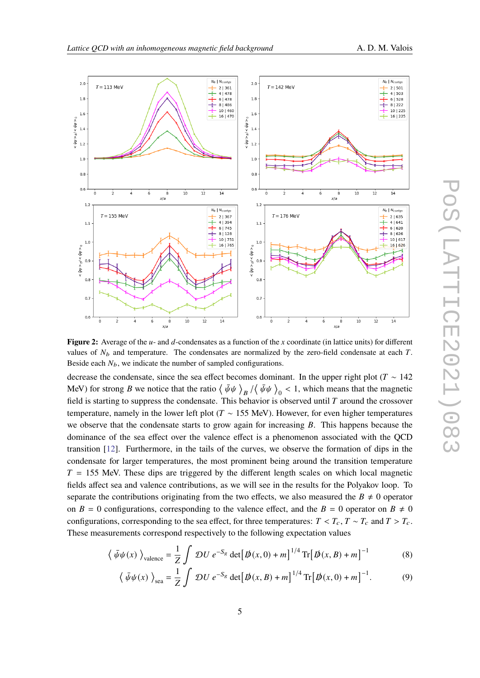

<span id="page-4-0"></span>

**Figure 2:** Average of the  $u$ - and  $d$ -condensates as a function of the x coordinate (in lattice units) for different values of  $N_b$  and temperature. The condensates are normalized by the zero-field condensate at each T. Beside each  $N_b$ , we indicate the number of sampled configurations.

decrease the condensate, since the sea effect becomes dominant. In the upper right plot ( $T \sim 142$ MeV) for strong B we notice that the ratio  $\langle \bar{\psi}\psi \rangle_B / \langle \bar{\psi}\psi \rangle_0 < 1$ , which means that the magnetic field is starting to suppress the condensate. This behavior is observed until  $T$  around the crossover temperature, namely in the lower left plot ( $T \sim 155$  MeV). However, for even higher temperatures we observe that the condensate starts to grow again for increasing  $B$ . This happens because the dominance of the sea effect over the valence effect is a phenomenon associated with the QCD transition [\[12\]](#page-8-2). Furthermore, in the tails of the curves, we observe the formation of dips in the condensate for larger temperatures, the most prominent being around the transition temperature  $T = 155$  MeV. These dips are triggered by the different length scales on which local magnetic fields affect sea and valence contributions, as we will see in the results for the Polyakov loop. To separate the contributions originating from the two effects, we also measured the  $B \neq 0$  operator on  $B = 0$  configurations, corresponding to the valence effect, and the  $B = 0$  operator on  $B \neq 0$ configurations, corresponding to the sea effect, for three temperatures:  $T < T_c$ ,  $T \sim T_c$  and  $T > T_c$ . These measurements correspond respectively to the following expectation values

$$
\langle \bar{\psi}\psi(x) \rangle_{\text{valence}} = \frac{1}{Z} \int \mathcal{D}U \, e^{-S_g} \det[\bar{\psi}(x,0) + m]^{1/4} \operatorname{Tr}[\bar{\psi}(x,B) + m]^{-1} \tag{8}
$$

<span id="page-4-2"></span><span id="page-4-1"></span>
$$
\langle \bar{\psi}\psi(x) \rangle_{\text{sea}} = \frac{1}{Z} \int \mathcal{D}U \, e^{-S_g} \det[\mathcal{D}(x, B) + m]^{1/4} \operatorname{Tr}[\mathcal{D}(x, 0) + m]^{-1}.
$$
 (9)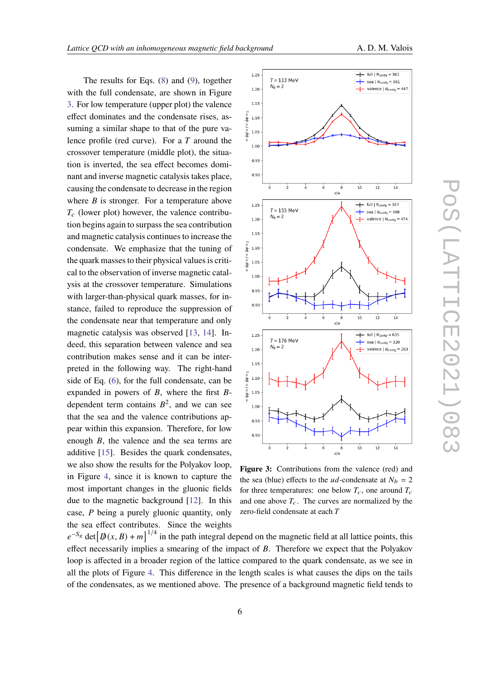The results for Eqs. [\(8\)](#page-4-1) and [\(9\)](#page-4-2), together with the full condensate, are shown in Figure [3.](#page-5-0) For low temperature (upper plot) the valence effect dominates and the condensate rises, assuming a similar shape to that of the pure valence profile (red curve). For a  $T$  around the crossover temperature (middle plot), the situation is inverted, the sea effect becomes dominant and inverse magnetic catalysis takes place, causing the condensate to decrease in the region where  $B$  is stronger. For a temperature above  $T_c$  (lower plot) however, the valence contribution begins again to surpass the sea contribution and magnetic catalysis continues to increase the condensate. We emphasize that the tuning of the quark masses to their physical values is critical to the observation of inverse magnetic catalysis at the crossover temperature. Simulations with larger-than-physical quark masses, for instance, failed to reproduce the suppression of the condensate near that temperature and only magnetic catalysis was observed [\[13,](#page-8-3) [14\]](#page-8-4). Indeed, this separation between valence and sea contribution makes sense and it can be interpreted in the following way. The right-hand side of Eq. [\(6\)](#page-3-2), for the full condensate, can be expanded in powers of  $B$ , where the first  $B$ dependent term contains  $B^2$ , and we can see that the sea and the valence contributions appear within this expansion. Therefore, for low enough  $B$ , the valence and the sea terms are additive [\[15\]](#page-8-5). Besides the quark condensates, we also show the results for the Polyakov loop, in Figure [4,](#page-6-1) since it is known to capture the most important changes in the gluonic fields due to the magnetic background [\[12\]](#page-8-2). In this case,  $P$  being a purely gluonic quantity, only the sea effect contributes. Since the weights

<span id="page-5-0"></span>

**Figure 3:** Contributions from the valence (red) and the sea (blue) effects to the  $ud$ -condensate at  $N_b = 2$ for three temperatures: one below  $T_c$ , one around  $T_c$ and one above  $T_c$ . The curves are normalized by the zero-field condensate at each  $T$ 

 $e^{-S_g}$  det $[\phi(x, B) + m]^{1/4}$  in the path integral depend on the magnetic field at all lattice points, this effect necessarily implies a smearing of the impact of  $B$ . Therefore we expect that the Polyakov loop is affected in a broader region of the lattice compared to the quark condensate, as we see in all the plots of Figure [4.](#page-6-1) This difference in the length scales is what causes the dips on the tails of the condensates, as we mentioned above. The presence of a background magnetic field tends to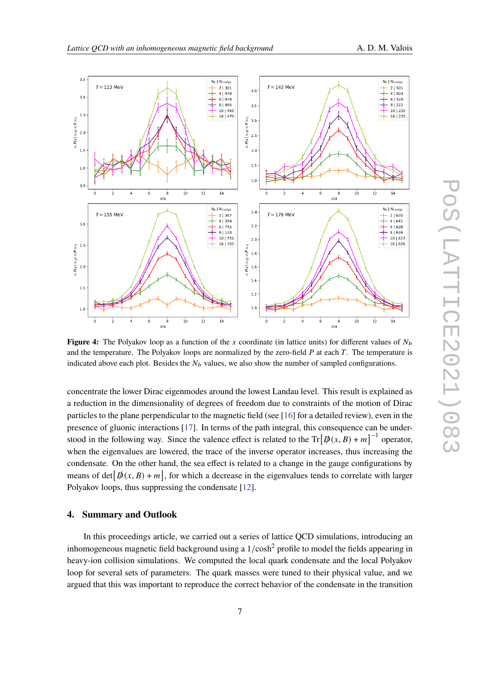<span id="page-6-1"></span> $3.5$  $N_b | N_{config}$  $N_b$  |  $N_{\text{config}}$  $T = 113$  MeV  $T = 142$  MeV  $\frac{1}{2}$  2 | 361<br> $\frac{1}{2}$  4 | 478  $+$  2 | 501<br>+ 4 | 503  $4<sub>c</sub>$  $3.0$  $6|478$  $+$  6 | 528<br>  $+$  8 | 222  $+$  8 | 486  $\overline{a}$  $10 | 460$  $10 | 225$  $2<sup>1</sup>$  $16|470$  $16 | 225$  $< P(x) > B / < P > 0$  $< P(x) > B / < P > 0$  $3.<sub>C</sub>$  $2.0$  $2.5$  $1.5$  $20$  $1.5$  $1.0$  $1.0$  $0.5$  $10$  $10$  $\overline{12}$  $\overline{14}$  $\dot{\mathbf{a}}$  $\overline{12}$  $14$  $\mathbf{a}$  $x/a$  $x/a$  $N_b$  |  $N_{confias}$  $N_b$  |  $N_{\text{config}}$  $\overline{\phantom{a}}$  $T = 176$  MeV  $T = 155$  MeV  $2 | 367$  $\overline{+}$  2 | 635  $+ 41641$  $4 \overline{1}394$  $3($  $6|745$  $2.\overline{2}$  $6|620$  $+$  8 | 128  $+ 8 | 626$  $10|751$  $10 | 617$  $2.0$ 16 765  $16|626$  $2<sup>1</sup>$  $\leq P(x) > g / \leq P > 0$  $\langle P(x) \rangle$   $\geq R$   $\langle P \rangle$  $1.8$  $2.0$  $1.6$  $1.4$  $1.5$  $1.2$  $1.0$  $1.0$  $\frac{1}{14}$  $\frac{1}{12}$  $\bar{\circ}$  $\frac{1}{10}$  $\overline{12}$  $\frac{1}{10}$  $\frac{1}{14}$  $\overline{8}$  $x/a$ 

**Figure 4:** The Polyakov loop as a function of the x coordinate (in lattice units) for different values of  $N_b$ and the temperature. The Polyakov loops are normalized by the zero-field  $P$  at each  $T$ . The temperature is indicated above each plot. Besides the  $N_b$  values, we also show the number of sampled configurations.

 $x/a$ 

concentrate the lower Dirac eigenmodes around the lowest Landau level. This result is explained as a reduction in the dimensionality of degrees of freedom due to constraints of the motion of Dirac particles to the plane perpendicular to the magnetic field (see [\[16\]](#page-8-6) for a detailed review), even in the presence of gluonic interactions [\[17\]](#page-8-7). In terms of the path integral, this consequence can be understood in the following way. Since the valence effect is related to the  $\text{Tr}[\phi(x, B) + m]^{-1}$  operator, when the eigenvalues are lowered, the trace of the inverse operator increases, thus increasing the condensate. On the other hand, the sea effect is related to a change in the gauge configurations by means of det  $[\phi(x, B) + m]$ , for which a decrease in the eigenvalues tends to correlate with larger Polyakov loops, thus suppressing the condensate [\[12\]](#page-8-2).

#### <span id="page-6-0"></span>**4. Summary and Outlook**

In this proceedings article, we carried out a series of lattice QCD simulations, introducing an inhomogeneous magnetic field background using a  $1/\cosh^2$  profile to model the fields appearing in heavy-ion collision simulations. We computed the local quark condensate and the local Polyakov loop for several sets of parameters. The quark masses were tuned to their physical value, and we argued that this was important to reproduce the correct behavior of the condensate in the transition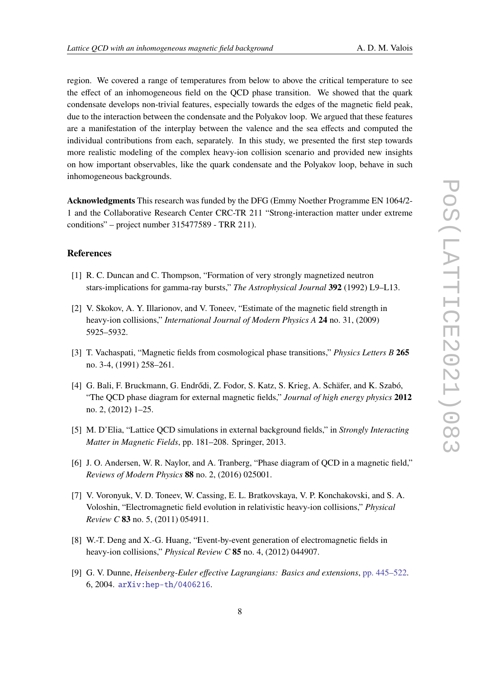region. We covered a range of temperatures from below to above the critical temperature to see the effect of an inhomogeneous field on the QCD phase transition. We showed that the quark condensate develops non-trivial features, especially towards the edges of the magnetic field peak, due to the interaction between the condensate and the Polyakov loop. We argued that these features are a manifestation of the interplay between the valence and the sea effects and computed the individual contributions from each, separately. In this study, we presented the first step towards more realistic modeling of the complex heavy-ion collision scenario and provided new insights on how important observables, like the quark condensate and the Polyakov loop, behave in such inhomogeneous backgrounds.

**Acknowledgments** This research was funded by the DFG (Emmy Noether Programme EN 1064/2- 1 and the Collaborative Research Center CRC-TR 211 "Strong-interaction matter under extreme conditions" – project number 315477589 - TRR 211).

## **References**

- <span id="page-7-0"></span>[1] R. C. Duncan and C. Thompson, "Formation of very strongly magnetized neutron stars-implications for gamma-ray bursts," *The Astrophysical Journal* **392** (1992) L9–L13.
- <span id="page-7-1"></span>[2] V. Skokov, A. Y. Illarionov, and V. Toneev, "Estimate of the magnetic field strength in heavy-ion collisions," *International Journal of Modern Physics A* **24** no. 31, (2009) 5925–5932.
- <span id="page-7-2"></span>[3] T. Vachaspati, "Magnetic fields from cosmological phase transitions," *Physics Letters B* **265** no. 3-4, (1991) 258–261.
- <span id="page-7-3"></span>[4] G. Bali, F. Bruckmann, G. Endrődi, Z. Fodor, S. Katz, S. Krieg, A. Schäfer, and K. Szabó, "The QCD phase diagram for external magnetic fields," *Journal of high energy physics* **2012** no. 2, (2012) 1–25.
- <span id="page-7-4"></span>[5] M. D'Elia, "Lattice QCD simulations in external background fields," in *Strongly Interacting Matter in Magnetic Fields*, pp. 181–208. Springer, 2013.
- <span id="page-7-5"></span>[6] J. O. Andersen, W. R. Naylor, and A. Tranberg, "Phase diagram of QCD in a magnetic field," *Reviews of Modern Physics* **88** no. 2, (2016) 025001.
- <span id="page-7-6"></span>[7] V. Voronyuk, V. D. Toneev, W. Cassing, E. L. Bratkovskaya, V. P. Konchakovski, and S. A. Voloshin, "Electromagnetic field evolution in relativistic heavy-ion collisions," *Physical Review C* **83** no. 5, (2011) 054911.
- <span id="page-7-7"></span>[8] W.-T. Deng and X.-G. Huang, "Event-by-event generation of electromagnetic fields in heavy-ion collisions," *Physical Review C* **85** no. 4, (2012) 044907.
- <span id="page-7-8"></span>[9] G. V. Dunne, *Heisenberg-Euler effective Lagrangians: Basics and extensions*, [pp. 445–522.](http://dx.doi.org/10.1142/9789812775344_0014) 6, 2004. [arXiv:hep-th/0406216](http://arxiv.org/abs/hep-th/0406216).